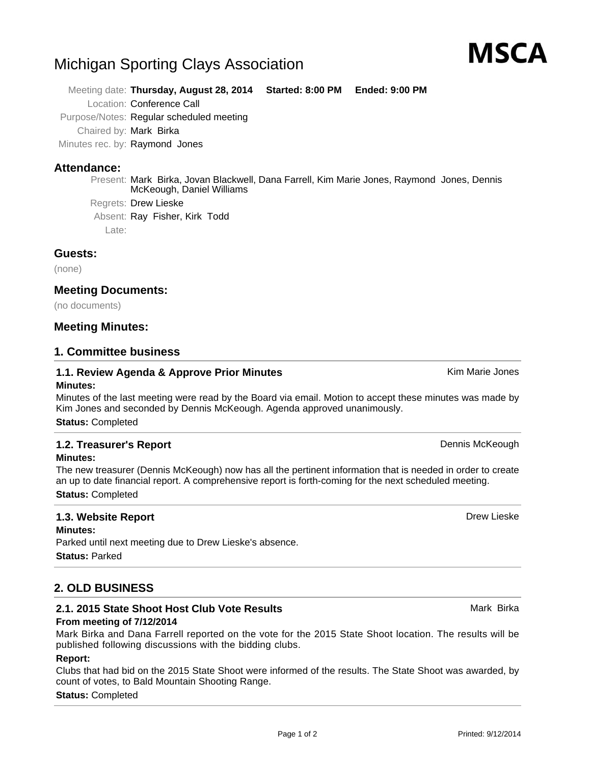# Michigan Sporting Clays Association

Meeting date: **Thursday, August 28, 2014 Started: 8:00 PM Ended: 9:00 PM**

Location: Conference Call

Purpose/Notes: Regular scheduled meeting

Chaired by: Mark Birka

Minutes rec. by: Raymond Jones

# **Attendance:**

Present: Mark Birka, Jovan Blackwell, Dana Farrell, Kim Marie Jones, Raymond Jones, Dennis McKeough, Daniel Williams

Regrets: Drew Lieske

Absent: Ray Fisher, Kirk Todd

Late:

## **Guests:**

(none)

# **Meeting Documents:**

(no documents)

## **Meeting Minutes:**

## **1. Committee business**

#### **1.1. Review Agenda & Approve Prior Minutes** Manuscom Manuscom Marie Jones **Minutes:**

Minutes of the last meeting were read by the Board via email. Motion to accept these minutes was made by Kim Jones and seconded by Dennis McKeough. Agenda approved unanimously.

**Status:** Completed

#### **1.2. Treasurer's Report Dennis McKeough Dennis McKeough Dennis McKeough Minutes:**

The new treasurer (Dennis McKeough) now has all the pertinent information that is needed in order to create an up to date financial report. A comprehensive report is forth-coming for the next scheduled meeting. **Status:** Completed

# **1.3. Website Report** Drew Lieske

**Minutes:** Parked until next meeting due to Drew Lieske's absence. **Status:** Parked

# **2. OLD BUSINESS**

## **2.1. 2015 State Shoot Host Club Vote Results** Mark Birka Mark Birka

## **From meeting of 7/12/2014**

Mark Birka and Dana Farrell reported on the vote for the 2015 State Shoot location. The results will be published following discussions with the bidding clubs.

## **Report:**

Clubs that had bid on the 2015 State Shoot were informed of the results. The State Shoot was awarded, by count of votes, to Bald Mountain Shooting Range.

## **Status:** Completed